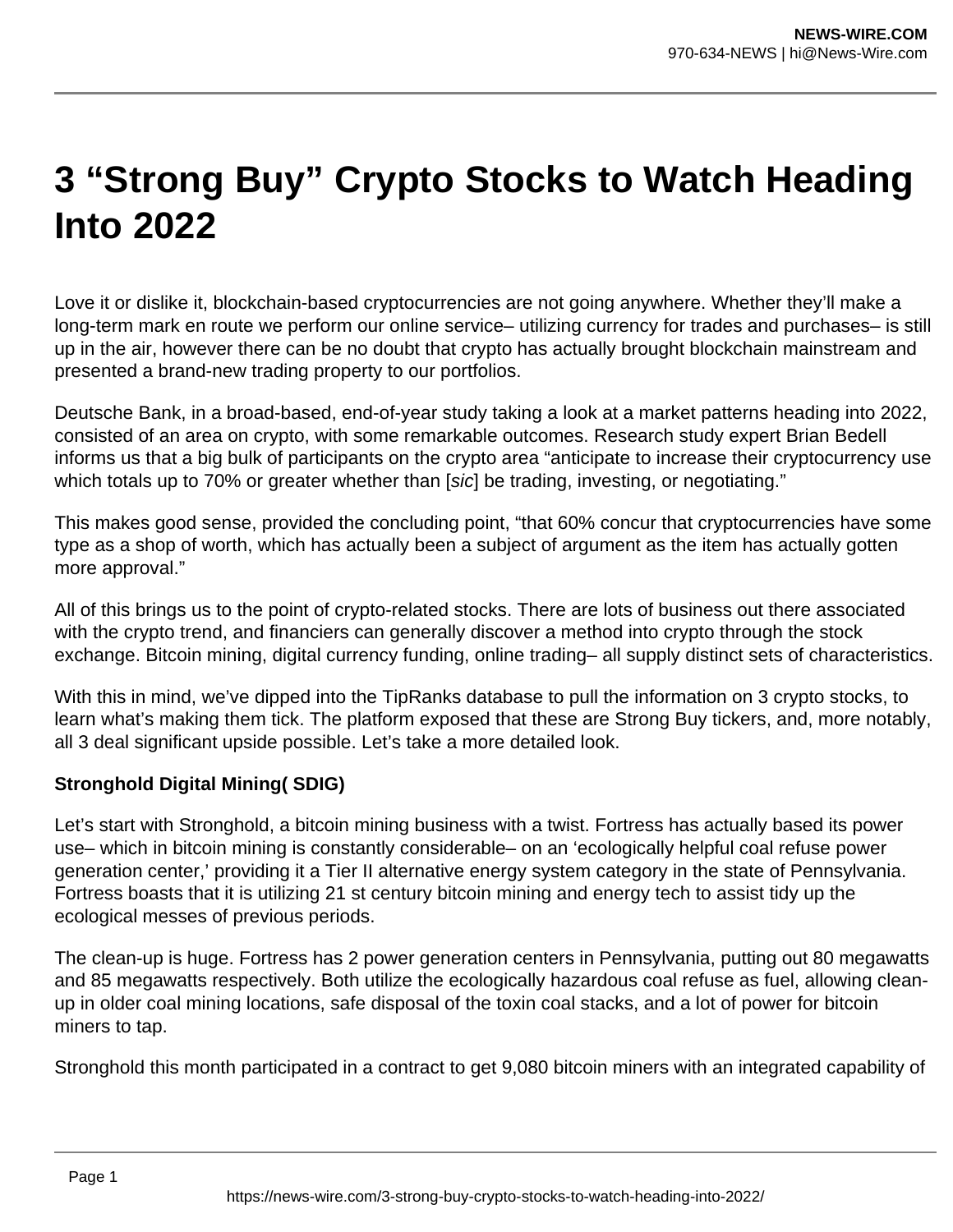## **3 "Strong Buy" Crypto Stocks to Watch Heading Into 2022**

Love it or dislike it, blockchain-based cryptocurrencies are not going anywhere. Whether they'll make a long-term mark en route we perform our online service– utilizing currency for trades and purchases– is still up in the air, however there can be no doubt that crypto has actually brought blockchain mainstream and presented a brand-new trading property to our portfolios.

Deutsche Bank, in a broad-based, end-of-year study taking a look at a market patterns heading into 2022, consisted of an area on crypto, with some remarkable outcomes. Research study expert Brian Bedell informs us that a big bulk of participants on the crypto area "anticipate to increase their cryptocurrency use which totals up to 70% or greater whether than [sic] be trading, investing, or negotiating."

This makes good sense, provided the concluding point, "that 60% concur that cryptocurrencies have some type as a shop of worth, which has actually been a subject of argument as the item has actually gotten more approval."

All of this brings us to the point of crypto-related stocks. There are lots of business out there associated with the crypto trend, and financiers can generally discover a method into crypto through the stock exchange. Bitcoin mining, digital currency funding, online trading– all supply distinct sets of characteristics.

With this in mind, we've dipped into the TipRanks database to pull the information on 3 crypto stocks, to learn what's making them tick. The platform exposed that these are Strong Buy tickers, and, more notably, all 3 deal significant upside possible. Let's take a more detailed look.

## **Stronghold Digital Mining( SDIG)**

Let's start with Stronghold, a bitcoin mining business with a twist. Fortress has actually based its power use– which in bitcoin mining is constantly considerable– on an 'ecologically helpful coal refuse power generation center,' providing it a Tier II alternative energy system category in the state of Pennsylvania. Fortress boasts that it is utilizing 21 st century bitcoin mining and energy tech to assist tidy up the ecological messes of previous periods.

The clean-up is huge. Fortress has 2 power generation centers in Pennsylvania, putting out 80 megawatts and 85 megawatts respectively. Both utilize the ecologically hazardous coal refuse as fuel, allowing cleanup in older coal mining locations, safe disposal of the toxin coal stacks, and a lot of power for bitcoin miners to tap.

Stronghold this month participated in a contract to get 9,080 bitcoin miners with an integrated capability of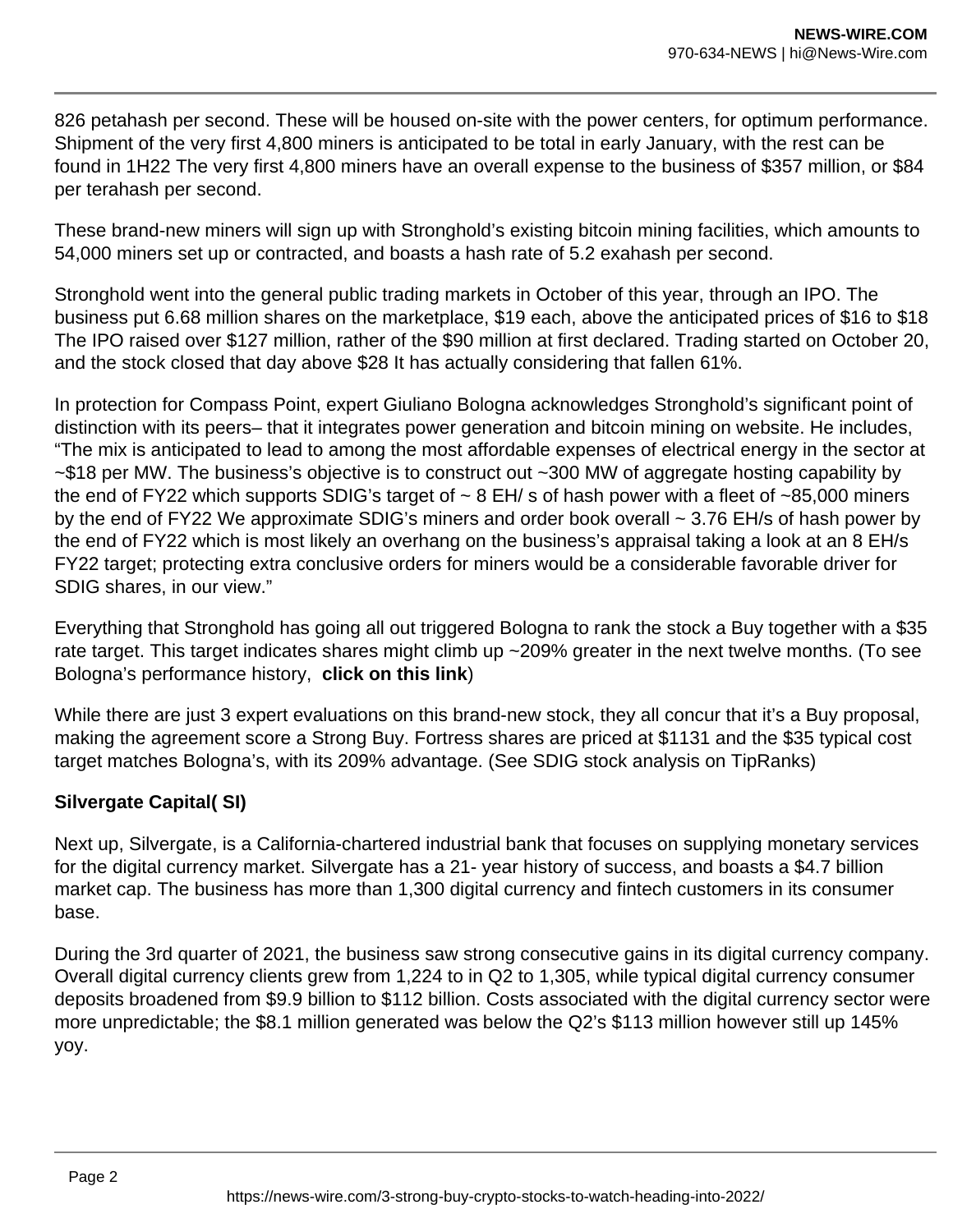826 petahash per second. These will be housed on-site with the power centers, for optimum performance. Shipment of the very first 4,800 miners is anticipated to be total in early January, with the rest can be found in 1H22 The very first 4,800 miners have an overall expense to the business of \$357 million, or \$84 per terahash per second.

These brand-new miners will sign up with Stronghold's existing bitcoin mining facilities, which amounts to 54,000 miners set up or contracted, and boasts a hash rate of 5.2 exahash per second.

Stronghold went into the general public trading markets in October of this year, through an IPO. The business put 6.68 million shares on the marketplace, \$19 each, above the anticipated prices of \$16 to \$18 The IPO raised over \$127 million, rather of the \$90 million at first declared. Trading started on October 20, and the stock closed that day above \$28 It has actually considering that fallen 61%.

In protection for Compass Point, expert Giuliano Bologna acknowledges Stronghold's significant point of distinction with its peers– that it integrates power generation and bitcoin mining on website. He includes, "The mix is anticipated to lead to among the most affordable expenses of electrical energy in the sector at ~\$18 per MW. The business's objective is to construct out ~300 MW of aggregate hosting capability by the end of FY22 which supports SDIG's target of  $\sim$  8 EH/ s of hash power with a fleet of  $\sim$ 85,000 miners by the end of FY22 We approximate SDIG's miners and order book overall ~ 3.76 EH/s of hash power by the end of FY22 which is most likely an overhang on the business's appraisal taking a look at an 8 EH/s FY22 target; protecting extra conclusive orders for miners would be a considerable favorable driver for SDIG shares, in our view."

Everything that Stronghold has going all out triggered Bologna to rank the stock a Buy together with a \$35 rate target. This target indicates shares might climb up ~209% greater in the next twelve months. (To see Bologna's performance history, **click on this link**)

While there are just 3 expert evaluations on this brand-new stock, they all concur that it's a Buy proposal, making the agreement score a Strong Buy. Fortress shares are priced at \$1131 and the \$35 typical cost target matches Bologna's, with its 209% advantage. (See SDIG stock analysis on TipRanks)

## **Silvergate Capital( SI)**

Next up, Silvergate, is a California-chartered industrial bank that focuses on supplying monetary services for the digital currency market. Silvergate has a 21- year history of success, and boasts a \$4.7 billion market cap. The business has more than 1,300 digital currency and fintech customers in its consumer base.

During the 3rd quarter of 2021, the business saw strong consecutive gains in its digital currency company. Overall digital currency clients grew from 1,224 to in Q2 to 1,305, while typical digital currency consumer deposits broadened from \$9.9 billion to \$112 billion. Costs associated with the digital currency sector were more unpredictable; the \$8.1 million generated was below the Q2's \$113 million however still up 145% yoy.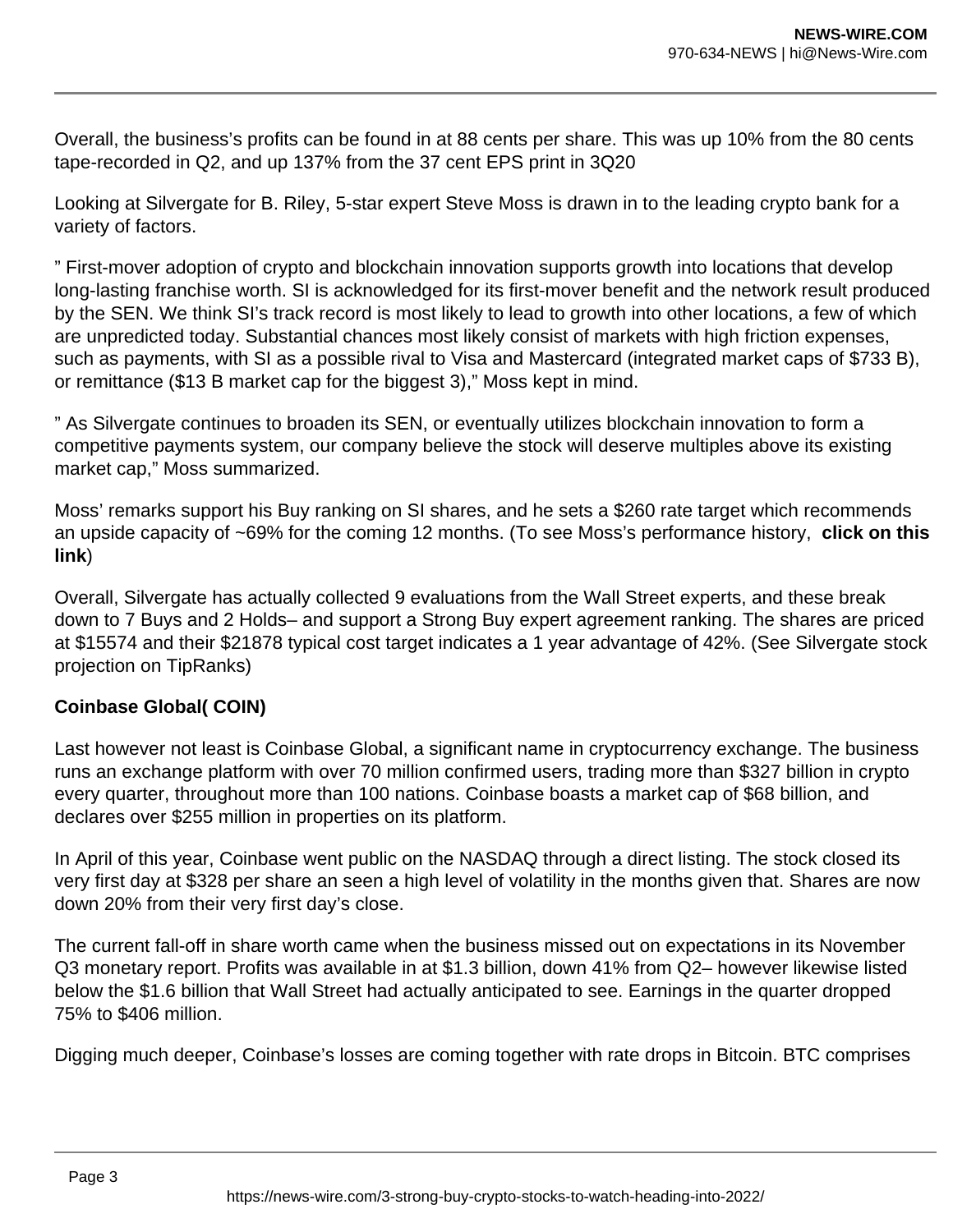Overall, the business's profits can be found in at 88 cents per share. This was up 10% from the 80 cents tape-recorded in Q2, and up 137% from the 37 cent EPS print in 3Q20

Looking at Silvergate for B. Riley, 5-star expert Steve Moss is drawn in to the leading crypto bank for a variety of factors.

" First-mover adoption of crypto and blockchain innovation supports growth into locations that develop long-lasting franchise worth. SI is acknowledged for its first-mover benefit and the network result produced by the SEN. We think SI's track record is most likely to lead to growth into other locations, a few of which are unpredicted today. Substantial chances most likely consist of markets with high friction expenses, such as payments, with SI as a possible rival to Visa and Mastercard (integrated market caps of \$733 B), or remittance (\$13 B market cap for the biggest 3)," Moss kept in mind.

" As Silvergate continues to broaden its SEN, or eventually utilizes blockchain innovation to form a competitive payments system, our company believe the stock will deserve multiples above its existing market cap," Moss summarized.

Moss' remarks support his Buy ranking on SI shares, and he sets a \$260 rate target which recommends an upside capacity of ~69% for the coming 12 months. (To see Moss's performance history, **click on this link**)

Overall, Silvergate has actually collected 9 evaluations from the Wall Street experts, and these break down to 7 Buys and 2 Holds– and support a Strong Buy expert agreement ranking. The shares are priced at \$15574 and their \$21878 typical cost target indicates a 1 year advantage of 42%. (See Silvergate stock projection on TipRanks)

## **Coinbase Global( COIN)**

Last however not least is Coinbase Global, a significant name in cryptocurrency exchange. The business runs an exchange platform with over 70 million confirmed users, trading more than \$327 billion in crypto every quarter, throughout more than 100 nations. Coinbase boasts a market cap of \$68 billion, and declares over \$255 million in properties on its platform.

In April of this year, Coinbase went public on the NASDAQ through a direct listing. The stock closed its very first day at \$328 per share an seen a high level of volatility in the months given that. Shares are now down 20% from their very first day's close.

The current fall-off in share worth came when the business missed out on expectations in its November Q3 monetary report. Profits was available in at \$1.3 billion, down 41% from Q2– however likewise listed below the \$1.6 billion that Wall Street had actually anticipated to see. Earnings in the quarter dropped 75% to \$406 million.

Digging much deeper, Coinbase's losses are coming together with rate drops in Bitcoin. BTC comprises